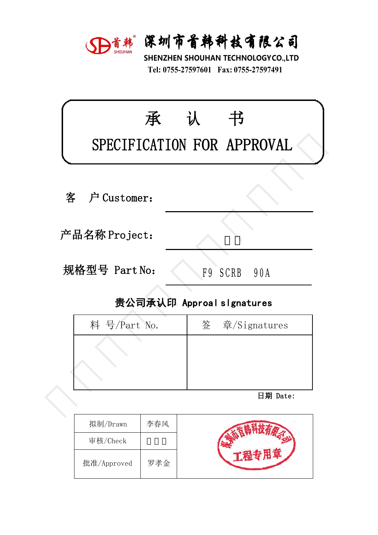

深圳市首韩科技有限公司<br>SHENZHEN SHOUHAN TECHNOLOGYCO.,LTD<br>Tel: 0755-27597601 Fax: 0755-27597491 **宋圳市首韩科技有限公司**<br>HENZHEN SHOUHAN TECHNOLOGYCO.,LTD<br>Tel: 0755-27597601 Fax: 0755-27597491

|   |               | D首韩 深圳市首韩科技有限公司<br>SHENZHEN SHOUHAN TECHNOLOGYCO.,LTD<br>Tel: 0755-27597601 Fax: 0755-27597491 |  |
|---|---------------|------------------------------------------------------------------------------------------------|--|
|   | 承             | 书<br>认<br>SPECIFICATION FOR APPROVAL                                                           |  |
| 客 | 户 Customer:   |                                                                                                |  |
|   | 产品名称 Project: |                                                                                                |  |
|   | 规格型号 Part No: | F9 SCRB<br>90A                                                                                 |  |
|   |               | 贵公司承认印 Approal slgnatures                                                                      |  |
|   | 料 号/Part No.  | 签<br>$\hat{\Xi}/\mathrm{Sigma}$                                                                |  |
|   |               |                                                                                                |  |
|   |               | 日期 Date:                                                                                       |  |
|   |               |                                                                                                |  |

| ‼硲型号 Part No: | F9 SCRB<br>90A            |
|---------------|---------------------------|
|               | 贵公司承认印 Approal slgnatures |
| 料 号/Part No.  | 签 章/Signatures            |
|               |                           |
|               |                           |
|               |                           |
|               | 日期 Date:                  |
|               |                           |

| 拟制/Drawn    | 李春风 |  |
|-------------|-----|--|
| 审核/Check    |     |  |
| 批准/Approved | 罗孝金 |  |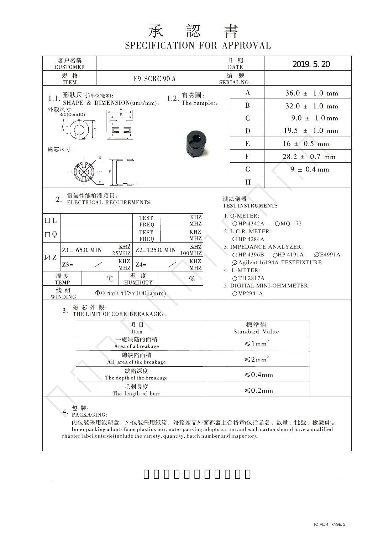## 承認書 SPECIFICATION FOR APPROVAL

| 客户名稱<br><b>CUSTOMER</b>                                                |                                                                                                                                                                                                                                                                                                                                                                                                                                                                                                                                                                                                                                                                                   |                             |                                   |               |                           | 日 期<br><b>DATE</b>                  | 2019. 5. 20 |                           |  |  |
|------------------------------------------------------------------------|-----------------------------------------------------------------------------------------------------------------------------------------------------------------------------------------------------------------------------------------------------------------------------------------------------------------------------------------------------------------------------------------------------------------------------------------------------------------------------------------------------------------------------------------------------------------------------------------------------------------------------------------------------------------------------------|-----------------------------|-----------------------------------|---------------|---------------------------|-------------------------------------|-------------|---------------------------|--|--|
| 規 格<br><b>ITEM</b>                                                     |                                                                                                                                                                                                                                                                                                                                                                                                                                                                                                                                                                                                                                                                                   |                             | F9 SCRC 90 A                      |               | 编                         | 號<br>SERIAL NO.                     |             |                           |  |  |
| 1.1. 形狀尺寸(單位/毫米):                                                      |                                                                                                                                                                                                                                                                                                                                                                                                                                                                                                                                                                                                                                                                                   |                             |                                   | 1.2. 實物圖:     |                           | $\bf{A}$                            |             | $36.0 \pm 1.0 \text{ mm}$ |  |  |
| 外殻尺寸:                                                                  |                                                                                                                                                                                                                                                                                                                                                                                                                                                                                                                                                                                                                                                                                   | SHAPE & DIMENSION(unit/mm): |                                   | The Sample::  |                           | B                                   |             | $32.0 \pm 1.0 \text{ mm}$ |  |  |
| $\Phi C(Core 1D)$                                                      |                                                                                                                                                                                                                                                                                                                                                                                                                                                                                                                                                                                                                                                                                   |                             |                                   |               |                           | $\mathcal{C}$                       |             | $9.0 \pm 1.0 \text{ mm}$  |  |  |
|                                                                        |                                                                                                                                                                                                                                                                                                                                                                                                                                                                                                                                                                                                                                                                                   |                             |                                   |               |                           | D                                   |             | $19.5 \pm 1.0 \text{ mm}$ |  |  |
| 磁芯尺寸:                                                                  |                                                                                                                                                                                                                                                                                                                                                                                                                                                                                                                                                                                                                                                                                   |                             |                                   |               |                           | $16 \pm 0.5$ mm<br>E                |             |                           |  |  |
|                                                                        |                                                                                                                                                                                                                                                                                                                                                                                                                                                                                                                                                                                                                                                                                   |                             |                                   |               |                           | $\overline{F}$<br>$28.2 \pm 0.7$ mm |             |                           |  |  |
|                                                                        |                                                                                                                                                                                                                                                                                                                                                                                                                                                                                                                                                                                                                                                                                   |                             |                                   |               |                           | $\mathsf G$<br>$9 \pm 0.4$ mm       |             |                           |  |  |
|                                                                        |                                                                                                                                                                                                                                                                                                                                                                                                                                                                                                                                                                                                                                                                                   |                             |                                   |               |                           | H                                   |             |                           |  |  |
| $\Box$ $L$<br>$\Box Q$<br>ZZ<br>$Z3=$<br>温度<br><b>TEMP</b><br>綫組<br>3. | 電氣性能檢測項目:<br>2. ELECTRICAL REQUIREMENTS:<br>測試儀器<br>TEST INSTRUMENTS<br>1. Q-METER:<br>KHZ<br><b>TEST</b><br><b>MHZ</b><br>○HP 4342A<br>$OMQ-172$<br>FREQ<br>$\ensuremath{\mathrm{KHZ}}$<br>2. L.C.R. METER:<br><b>TEST</b><br><b>MHZ</b><br>FREQ<br><b>OHP 4284A</b><br>KHZ<br>KHZ<br>3. IMPEDANCE ANALYZER:<br>$Z2=125\Omega$ MIN<br>$Z1 = 65 \Omega$ MIN<br>100MHz<br>$25\mathrm{MHz}$<br>$\emptyset$ E4991A<br>○HP 4396B<br>○HP 4191A<br>KHZ<br><b>KHZ</b><br>ØAgilent 16194A-TESTFIXTURE<br>$Z4=$<br>MHZ<br>MHZ<br>4. L-METER:<br>濕度<br>C<br>OTH 2817A<br>$\%$<br><b>HUMIDITY</b><br>5. DIGITAL MINI-OHM METER:<br>$\Phi$ 0.5x0.5TSx100L(mm)<br>OVP2941A<br>WINDING<br>磁芯外觀: |                             |                                   |               |                           |                                     |             |                           |  |  |
|                                                                        |                                                                                                                                                                                                                                                                                                                                                                                                                                                                                                                                                                                                                                                                                   | THE LIMIT OF CORE BREAKAGE: | 項目                                |               |                           | 標準值                                 |             |                           |  |  |
|                                                                        |                                                                                                                                                                                                                                                                                                                                                                                                                                                                                                                                                                                                                                                                                   |                             | Item                              |               | Standard Value            |                                     |             |                           |  |  |
|                                                                        |                                                                                                                                                                                                                                                                                                                                                                                                                                                                                                                                                                                                                                                                                   |                             | 一處缺陷的面積<br>Area of a breakage     |               | $\leq 1 \, \mathrm{mm}^2$ |                                     |             |                           |  |  |
|                                                                        |                                                                                                                                                                                                                                                                                                                                                                                                                                                                                                                                                                                                                                                                                   |                             | 總缺陷面積<br>All area of the breakage |               | $\leq 2mm^2$              |                                     |             |                           |  |  |
|                                                                        |                                                                                                                                                                                                                                                                                                                                                                                                                                                                                                                                                                                                                                                                                   |                             | 缺陷深度<br>The depth of the breakage | $\leq 0.4$ mm |                           |                                     |             |                           |  |  |
| 毛刺長度<br>The length of burr                                             |                                                                                                                                                                                                                                                                                                                                                                                                                                                                                                                                                                                                                                                                                   |                             |                                   |               |                           | $\leq 0.2$ mm                       |             |                           |  |  |
|                                                                        | $4. \frac{\oplus \#}{PACKAGING}$                                                                                                                                                                                                                                                                                                                                                                                                                                                                                                                                                                                                                                                  |                             |                                   |               |                           |                                     |             |                           |  |  |

内包裝采用泡塑盒, 外包裝采用紙箱, 每箱産品外面都蓋上合格章(包括品名、數量、批號、檢驗員)。 Inner packing adopts foam plastics box, outer packing adopts carton and each carton should have a qualified chapter label outside(include the variety, quantity, batch number and inspector).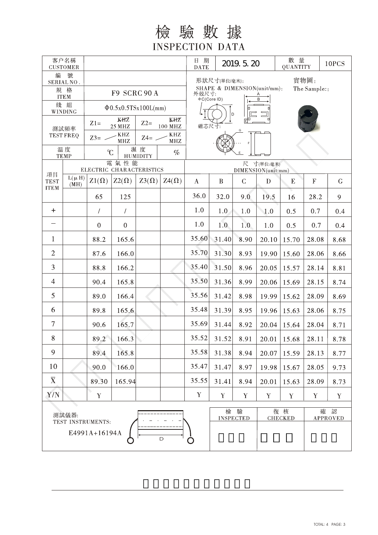## 檢驗數據 **INSPECTION DATA**

| 客户名稱<br><b>CUSTOMER</b>                                |                    |                                                          |                  |                                                              |                                                                     | 日期<br><b>DATE</b>                   | 2019. 5. 20           |               |                      | 數 量<br>QUANTITY |                      | 10PCS        |  |
|--------------------------------------------------------|--------------------|----------------------------------------------------------|------------------|--------------------------------------------------------------|---------------------------------------------------------------------|-------------------------------------|-----------------------|---------------|----------------------|-----------------|----------------------|--------------|--|
| 號<br>编<br>SERIAL NO.                                   |                    |                                                          |                  |                                                              | 實物圖:<br>形狀尺寸(單位/毫米):                                                |                                     |                       |               |                      |                 |                      |              |  |
|                                                        | 規 格<br><b>ITEM</b> | F9 SCRC 90 A                                             |                  |                                                              | SHAPE & DIMENSION(unit/mm):<br>The Sample::<br>外殻尺寸:<br>⊕C(Core ID) |                                     |                       |               |                      |                 |                      |              |  |
|                                                        | 綫 組<br>WINDING     | $\Phi$ 0.5x0.5TSx100L(mm)                                |                  |                                                              |                                                                     |                                     |                       |               |                      |                 |                      |              |  |
|                                                        |                    | KHZ<br>KHZ<br>$Z2=$<br>$Z1=$<br>100 MHZ<br><b>25 MHZ</b> |                  |                                                              | D<br>磁芯尺寸:                                                          |                                     |                       |               |                      |                 |                      |              |  |
| 測試頻率<br><b>TEST FREQ</b>                               |                    | $Z3=$ -                                                  | $\rm KHZ$<br>MHZ | $\operatorname{KHZ}$<br>$Z4=$<br>$\ensuremath{\mathbf{MHz}}$ |                                                                     |                                     |                       |               |                      |                 |                      |              |  |
| 温度<br><b>TEMP</b>                                      |                    | $\mathcal{C}$                                            |                  | 濕度<br>$\%$<br><b>HUMIDITY</b>                                |                                                                     |                                     |                       |               |                      |                 |                      |              |  |
|                                                        |                    | 電氣性能<br>ELECTRIC CHARACTERISTICS                         |                  |                                                              |                                                                     | 尺<br>寸(單位:毫米)<br>DIMENSION(unit:mm) |                       |               |                      |                 |                      |              |  |
| 項目<br><b>TEST</b>                                      | $L(\mu H)$<br>(MH) | $Z1(\Omega)$                                             | $Z2(\Omega)$     | $Z3(\Omega)$                                                 | $Z_4(\Omega)$                                                       | $\bf{A}$                            | B                     | $\mathcal{C}$ | D                    | E               | $\mathbf{F}$         | $\mathcal G$ |  |
| <b>ITEM</b>                                            |                    | 65                                                       | 125              |                                                              |                                                                     | 36.0                                | 32.0                  | 9.0           | 19.5                 | 16              | 28.2                 | 9            |  |
| $\ddot{}$                                              |                    | $\sqrt{2}$                                               | $\overline{1}$   |                                                              |                                                                     | 1.0                                 | 1.0                   | 1.0           | 1.0                  | 0.5             | 0.7                  | 0.4          |  |
|                                                        |                    | $\mathbf{0}$                                             | $\mathbf{0}$     |                                                              |                                                                     | 1.0                                 | 1.0                   | 1.0           | 1.0                  | 0.5             | 0.7                  | 0.4          |  |
| $\mathbf{1}$                                           |                    | 88.2                                                     | 165.6            |                                                              |                                                                     | 35.60                               | 31.40                 | 8.90          | 20.10                | 15.70           | 28.08                | 8.68         |  |
| $\overline{2}$                                         |                    | 87.6                                                     | 166.0            |                                                              |                                                                     | 35.70                               | 31.30                 | 8.93          | 19.90                | 15.60           | 28.06                | 8.66         |  |
| 3                                                      |                    | 88.8                                                     | 166.2            |                                                              |                                                                     | 35.40                               | 31.50                 | 8.96          | 20.05                | 15.57           | 28.14                | 8.81         |  |
| $\overline{4}$                                         |                    | 90.4                                                     | 165.8            |                                                              |                                                                     | 35.50                               | 31.36                 | 8.99          | 20.06                | 15.69           | 28.15                | 8.74         |  |
| 5                                                      |                    | 89.0                                                     | 166.4            |                                                              |                                                                     | 35.56                               | 31.42                 | 8.98          | 19.99                | 15.62           | 28.09                | 8.69         |  |
| 6                                                      |                    | 89.8                                                     | 165.6            |                                                              |                                                                     | 35.48                               | 31.39                 | 8.95          | 19.96                | 15.63           | 28.06                | 8.75         |  |
| $\overline{7}$                                         |                    | 90.6                                                     | 165.7            |                                                              |                                                                     | 35.69                               | 31.44                 | 8.92          | 20.04                | 15.64           | 28.04                | 8.71         |  |
| 8                                                      |                    | 89.2                                                     | 166.3            |                                                              |                                                                     | 35.52                               | 31.52                 | 8.91          |                      | $20.01$   15.68 | 28.11                | 8.78         |  |
| 9                                                      |                    | 89.4                                                     | 165.8            |                                                              |                                                                     | 35.58                               | 31.38                 | 8.94          | 20.07                | 15.59           | 28.13                | 8.77         |  |
| 10                                                     |                    | 90.0                                                     | 166.0            |                                                              |                                                                     | 35.47                               | 31.47                 | 8.97          | 19.98                | 15.67           | 28.05                | 9.73         |  |
| $\overline{X}$                                         |                    | 89.30                                                    | 165.94           |                                                              |                                                                     | 35.55                               | 31.41                 | 8.94          | 20.01                | 15.63           | 28.09                | 8.73         |  |
| Y/N                                                    |                    | Y                                                        |                  |                                                              |                                                                     | $\mathbf Y$                         | $\mathbf Y$           | $\mathbf Y$   | Y                    | $\mathbf Y$     | $\mathbf Y$          | $\mathbf Y$  |  |
| 測試儀器:                                                  |                    |                                                          |                  |                                                              |                                                                     | 檢                                   | 驗<br><b>INSPECTED</b> |               | 復核<br><b>CHECKED</b> | 確               | 認<br><b>APPROVED</b> |              |  |
| TEST INSTRUMENTS:<br>E4991A+16194A<br>$\mathsf D$<br>O |                    |                                                          |                  |                                                              |                                                                     |                                     |                       |               |                      |                 |                      |              |  |